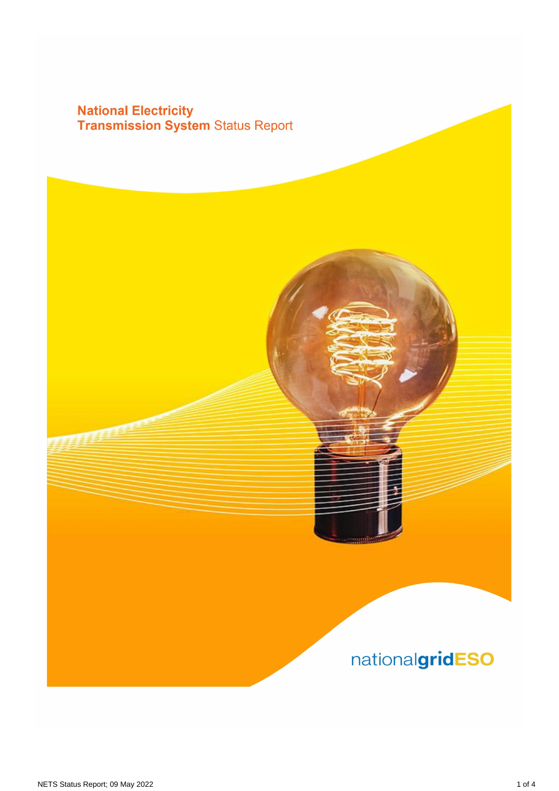# **National Electricity<br>Transmission System Status Report**

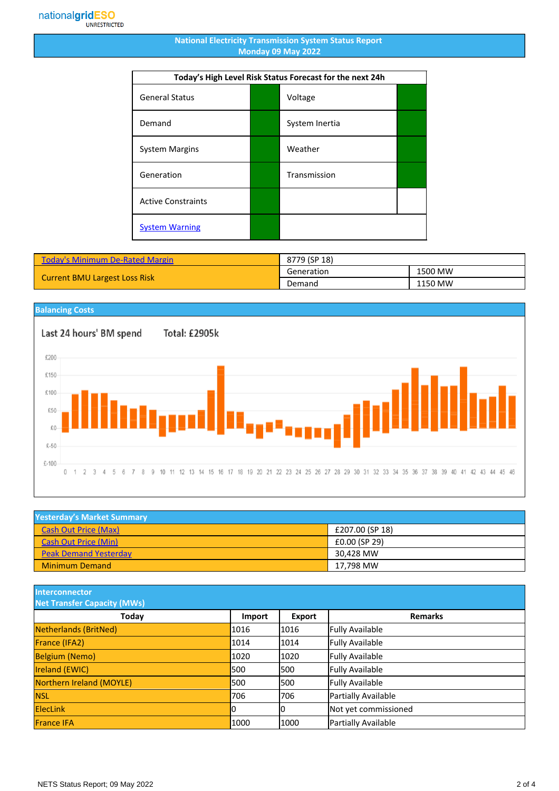#### **National Electricity Transmission System Status Report Monday 09 May 2022**

| Today's High Level Risk Status Forecast for the next 24h |  |                |  |  |  |  |
|----------------------------------------------------------|--|----------------|--|--|--|--|
| <b>General Status</b>                                    |  | Voltage        |  |  |  |  |
| Demand                                                   |  | System Inertia |  |  |  |  |
| <b>System Margins</b>                                    |  | Weather        |  |  |  |  |
| Generation                                               |  | Transmission   |  |  |  |  |
| <b>Active Constraints</b>                                |  |                |  |  |  |  |
| <b>System Warning</b>                                    |  |                |  |  |  |  |

| <b>Today's Minimum De-Rated Margin</b> | 8779 (SP 18) |         |
|----------------------------------------|--------------|---------|
|                                        | Generation   | 1500 MW |
| <b>Current BMU Largest Loss Risk</b>   | Demand       | 1150 MW |



| <b>Yesterday's Market Summary</b> |                 |  |  |  |  |
|-----------------------------------|-----------------|--|--|--|--|
| <b>Cash Out Price (Max)</b>       | £207.00 (SP 18) |  |  |  |  |
| <b>Cash Out Price (Min)</b>       | £0.00 (SP 29)   |  |  |  |  |
| <b>Peak Demand Yesterday</b>      | 30.428 MW       |  |  |  |  |
| <b>Minimum Demand</b>             | 17.798 MW       |  |  |  |  |

**Interconnector**

| <b>Net Transfer Capacity (MWs)</b> |        |        |                        |  |  |  |  |
|------------------------------------|--------|--------|------------------------|--|--|--|--|
| Today                              | Import | Export | <b>Remarks</b>         |  |  |  |  |
| Netherlands (BritNed)              | 1016   | 1016   | <b>Fully Available</b> |  |  |  |  |
| France (IFA2)                      | 1014   | 1014   | <b>Fully Available</b> |  |  |  |  |
| <b>Belgium (Nemo)</b>              | 1020   | 1020   | <b>Fully Available</b> |  |  |  |  |
| <b>Ireland (EWIC)</b>              | 500    | 1500   | <b>Fully Available</b> |  |  |  |  |
| Northern Ireland (MOYLE)           | 500    | 1500   | <b>Fully Available</b> |  |  |  |  |
| <b>NSL</b>                         | 706    | 1706   | Partially Available    |  |  |  |  |
| <b>ElecLink</b>                    | ιU     | 10     | Not yet commissioned   |  |  |  |  |
| <b>France IFA</b>                  | 1000   | 1000   | Partially Available    |  |  |  |  |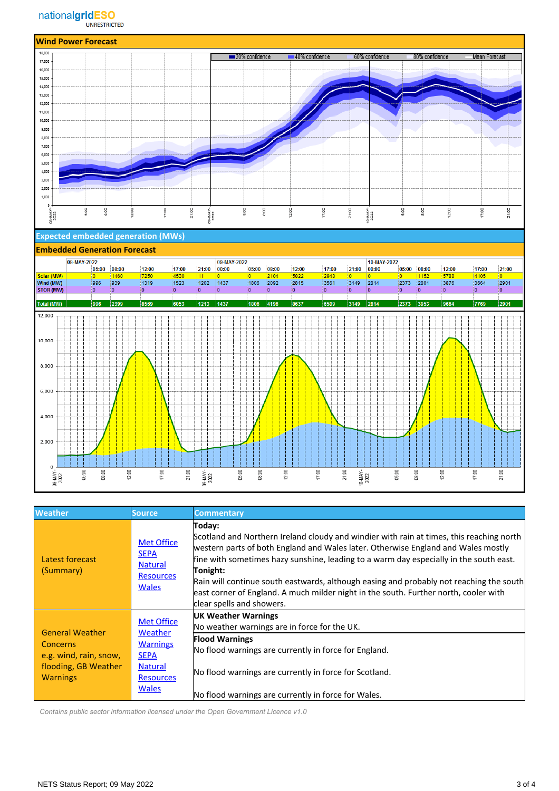

### **Expected embedded generation (MWs)**

### **Embedded Generation Forecast**

|                  | 08-MAY-2022 |                |       |       |          |                 | 09-MAY-2022 |       |          |       |       |                 | 10-MAY-2022    |                         |       |                |       |             |
|------------------|-------------|----------------|-------|-------|----------|-----------------|-------------|-------|----------|-------|-------|-----------------|----------------|-------------------------|-------|----------------|-------|-------------|
|                  |             | 05:00          | 08:00 | 12:00 | 17:00    | 21:00           | 00:00       | 05:00 | 08:00    | 12:00 | 17:00 | 21:00           | 00:00          | 05:00                   | 08:00 | 12:00          | 17:00 | 21:00       |
| Solar (MW)       |             | lo.            | 1460  | 7250  | 4530     | 11              | $ 0\rangle$ | 0     | 2104     | 5822  | 2948  | $ 0\rangle$     | $\overline{0}$ | O.                      | 1152  | 5788           | 4105  | $ 0\rangle$ |
| Wind (MW)        |             | 996            | 939   | 1319  | 1523     | 1202            | 1437        | 1806  | 2092     | 2815  | 3561  | 3149            | 2814           | 2373                    | 2801  | 3876           | 3664  | 2901        |
| <b>STOR (MW)</b> |             | $\overline{0}$ | ۱O.   | 10.   | $\Omega$ | 10              | $ 0\rangle$ | ۱O.   | $\Omega$ | 10    | 10    | ≬o              | 0              | $\overline{\mathbf{0}}$ | 10    | $\overline{0}$ | io.   | $ 0\rangle$ |
|                  |             |                |       |       |          |                 |             |       |          |       |       |                 |                |                         |       |                |       |             |
| Total (MW)       |             | 996            | 2399  | 8569  | 6053     | 1213            | 1437        | 1806  | 4196     | 8637  | 6509  | 3149            | 2814           | 2373                    | 3953  | 9664           | 7769  | 2901        |
| 12,000           |             |                |       |       |          |                 |             |       |          |       |       |                 |                |                         |       |                |       |             |
|                  |             |                |       |       |          |                 |             |       |          |       |       |                 |                |                         |       |                |       |             |
|                  |             |                |       |       |          |                 |             |       |          |       |       |                 |                |                         |       |                |       |             |
| 10,000           |             |                |       |       |          |                 |             |       |          |       |       |                 |                |                         |       |                |       |             |
|                  |             |                |       |       |          |                 |             |       |          |       |       |                 |                |                         |       |                |       |             |
|                  |             |                |       |       |          |                 |             |       |          |       |       |                 |                |                         |       |                |       |             |
|                  |             |                |       |       |          |                 |             |       |          |       |       |                 |                |                         |       |                |       |             |
| 8,000            |             |                |       |       |          |                 |             |       |          |       |       |                 |                |                         |       |                |       |             |
|                  |             |                |       |       |          |                 |             |       |          |       |       |                 |                |                         |       |                |       |             |
|                  |             |                |       |       |          |                 |             |       |          |       |       |                 |                |                         |       |                |       |             |
| 6,000            |             |                |       |       |          |                 |             |       |          |       |       |                 |                |                         |       |                |       |             |
|                  |             |                |       |       |          |                 |             |       |          |       |       |                 |                |                         |       |                |       |             |
|                  |             |                |       |       |          |                 |             |       |          |       |       |                 |                |                         |       |                |       |             |
| 4,000            |             |                |       |       |          |                 |             |       |          |       |       |                 |                |                         |       |                |       |             |
|                  |             |                |       |       |          |                 |             |       |          |       |       |                 |                |                         |       |                |       |             |
|                  |             |                |       |       |          |                 |             |       |          |       |       |                 |                |                         |       |                |       |             |
|                  |             |                |       |       |          |                 |             |       |          |       |       |                 |                |                         |       |                |       |             |
| 2,000            |             |                |       |       |          |                 |             |       |          |       |       |                 |                |                         |       |                |       |             |
|                  |             |                |       |       |          |                 |             |       |          |       |       |                 |                |                         |       |                |       |             |
|                  |             |                |       |       |          |                 |             |       |          |       |       |                 |                |                         |       |                |       |             |
| 0                |             |                |       |       |          |                 |             |       |          |       |       |                 |                |                         |       |                |       |             |
| 08-MAY-          | 05:00       | 08:00          | 12:00 | 17:00 | 21:00    |                 | 05:00       | 08:00 | 12:00    | 17:00 |       | 21:00           |                | 05:00                   | 08:00 | 12:00          | 17:00 | 21:00       |
|                  |             |                |       |       |          | 09-MAY-<br>2022 |             |       |          |       |       | 10-MAY-<br>2022 |                |                         |       |                |       |             |

| <b>Weather</b>                                                                                          | <b>Source</b>                                                                                                        | <b>Commentary</b>                                                                                                                                                                                                                                                                                                                                                                                                                                                                                             |
|---------------------------------------------------------------------------------------------------------|----------------------------------------------------------------------------------------------------------------------|---------------------------------------------------------------------------------------------------------------------------------------------------------------------------------------------------------------------------------------------------------------------------------------------------------------------------------------------------------------------------------------------------------------------------------------------------------------------------------------------------------------|
| Latest forecast<br>(Summary)                                                                            | <b>Met Office</b><br><b>SEPA</b><br><b>Natural</b><br><b>Resources</b><br><b>Wales</b>                               | Today:<br>Scotland and Northern Ireland cloudy and windier with rain at times, this reaching north<br>western parts of both England and Wales later. Otherwise England and Wales mostly<br>fine with sometimes hazy sunshine, leading to a warm day especially in the south east.<br>Tonight:<br>Rain will continue south eastwards, although easing and probably not reaching the south<br>east corner of England. A much milder night in the south. Further north, cooler with<br>clear spells and showers. |
| <b>General Weather</b><br>Concerns<br>e.g. wind, rain, snow,<br>flooding, GB Weather<br><b>Warnings</b> | <b>Met Office</b><br>Weather<br><b>Warnings</b><br><b>SEPA</b><br><b>Natural</b><br><b>Resources</b><br><b>Wales</b> | UK Weather Warnings<br>No weather warnings are in force for the UK.<br><b>Flood Warnings</b><br>No flood warnings are currently in force for England.<br>No flood warnings are currently in force for Scotland.<br>No flood warnings are currently in force for Wales.                                                                                                                                                                                                                                        |

 *Contains public sector information licensed under the Open Government Licence v1.0*